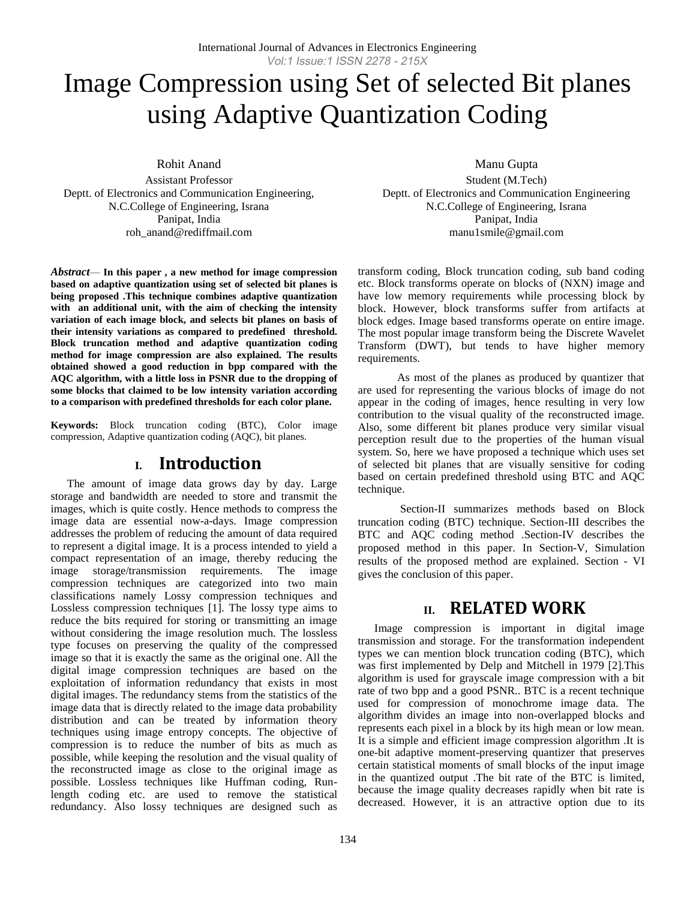# Image Compression using Set of selected Bit planes using Adaptive Quantization Coding

Rohit Anand

Assistant Professor Deptt. of Electronics and Communication Engineering, N.C.College of Engineering, Israna Panipat, India roh\_anand@rediffmail.com

*Abstract*— **In this paper , a new method for image compression based on adaptive quantization using set of selected bit planes is being proposed .This technique combines adaptive quantization with an additional unit, with the aim of checking the intensity variation of each image block, and selects bit planes on basis of their intensity variations as compared to predefined threshold. Block truncation method and adaptive quantization coding method for image compression are also explained. The results obtained showed a good reduction in bpp compared with the AQC algorithm, with a little loss in PSNR due to the dropping of some blocks that claimed to be low intensity variation according to a comparison with predefined thresholds for each color plane.**

**Keywords:** Block truncation coding (BTC), Color image compression, Adaptive quantization coding (AQC), bit planes.

# **I. Introduction**

The amount of image data grows day by day. Large storage and bandwidth are needed to store and transmit the images, which is quite costly. Hence methods to compress the image data are essential now-a-days. Image compression addresses the problem of reducing the amount of data required to represent a digital image. It is a process intended to yield a compact representation of an image, thereby reducing the image storage/transmission requirements. The image compression techniques are categorized into two main classifications namely Lossy compression techniques and Lossless compression techniques [1]. The lossy type aims to reduce the bits required for storing or transmitting an image without considering the image resolution much. The lossless type focuses on preserving the quality of the compressed image so that it is exactly the same as the original one. All the digital image compression techniques are based on the exploitation of information redundancy that exists in most digital images. The redundancy stems from the statistics of the image data that is directly related to the image data probability distribution and can be treated by information theory techniques using image entropy concepts. The objective of compression is to reduce the number of bits as much as possible, while keeping the resolution and the visual quality of the reconstructed image as close to the original image as possible. Lossless techniques like Huffman coding, Runlength coding etc. are used to remove the statistical redundancy. Also lossy techniques are designed such as

Manu Gupta

Student (M.Tech) Deptt. of Electronics and Communication Engineering N.C.College of Engineering, Israna Panipat, India manu1smile@gmail.com

transform coding, Block truncation coding, sub band coding etc. Block transforms operate on blocks of (NXN) image and have low memory requirements while processing block by block. However, block transforms suffer from artifacts at block edges. Image based transforms operate on entire image. The most popular image transform being the Discrete Wavelet Transform (DWT), but tends to have higher memory requirements.

 As most of the planes as produced by quantizer that are used for representing the various blocks of image do not appear in the coding of images, hence resulting in very low contribution to the visual quality of the reconstructed image. Also, some different bit planes produce very similar visual perception result due to the properties of the human visual system. So, here we have proposed a technique which uses set of selected bit planes that are visually sensitive for coding based on certain predefined threshold using BTC and AQC technique.

 Section-II summarizes methods based on Block truncation coding (BTC) technique. Section-III describes the BTC and AQC coding method .Section-IV describes the proposed method in this paper. In Section-V, Simulation results of the proposed method are explained. Section - VI gives the conclusion of this paper.

# **II. RELATED WORK**

Image compression is important in digital image transmission and storage. For the transformation independent types we can mention block truncation coding (BTC), which was first implemented by Delp and Mitchell in 1979 [2].This algorithm is used for grayscale image compression with a bit rate of two bpp and a good PSNR.. BTC is a recent technique used for compression of monochrome image data. The algorithm divides an image into non-overlapped blocks and represents each pixel in a block by its high mean or low mean. It is a simple and efficient image compression algorithm .It is one-bit adaptive moment-preserving quantizer that preserves certain statistical moments of small blocks of the input image in the quantized output .The bit rate of the BTC is limited, because the image quality decreases rapidly when bit rate is decreased. However, it is an attractive option due to its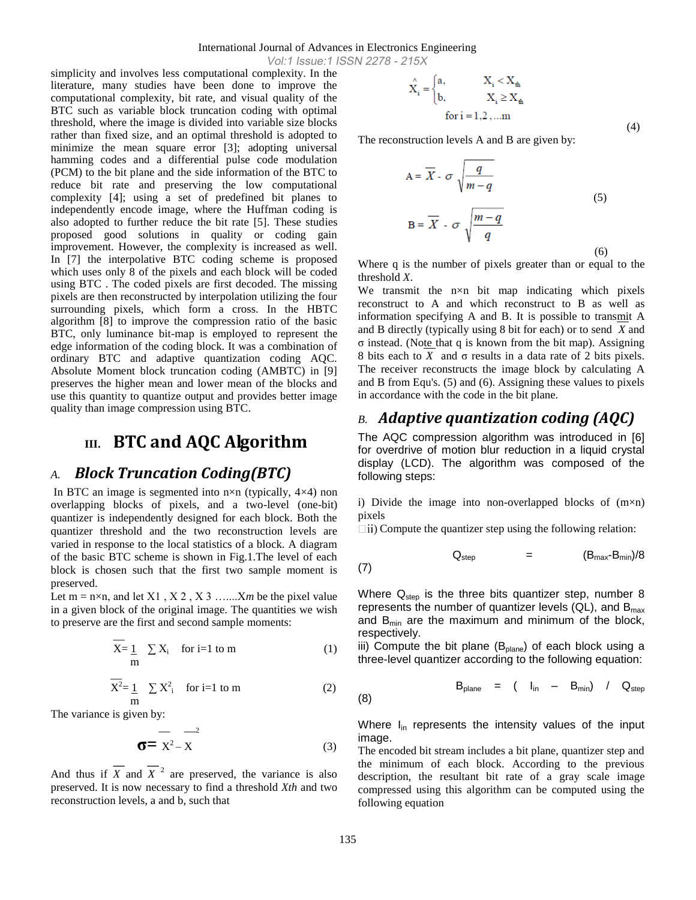Vol:1 Issue:1 ISSN 2278 - 215X

simplicity and involves less computational complexity. In the literature, many studies have been done to improve the computational complexity, bit rate, and visual quality of the BTC such as variable block truncation coding with optimal threshold, where the image is divided into variable size blocks rather than fixed size, and an optimal threshold is adopted to minimize the mean square error [3]; adopting universal hamming codes and a differential pulse code modulation (PCM) to the bit plane and the side information of the BTC to reduce bit rate and preserving the low computational complexity [4]; using a set of predefined bit planes to independently encode image, where the Huffman coding is also adopted to further reduce the bit rate [5]. These studies proposed good solutions in quality or coding gain improvement. However, the complexity is increased as well. In [7] the interpolative BTC coding scheme is proposed which uses only 8 of the pixels and each block will be coded using BTC . The coded pixels are first decoded. The missing pixels are then reconstructed by interpolation utilizing the four surrounding pixels, which form a cross. In the HBTC algorithm [8] to improve the compression ratio of the basic BTC, only luminance bit-map is employed to represent the edge information of the coding block. It was a combination of ordinary BTC and adaptive quantization coding AQC. Absolute Moment block truncation coding (AMBTC) in [9] preserves the higher mean and lower mean of the blocks and use this quantity to quantize output and provides better image quality than image compression using BTC.

#### **III. BTC and AQC Algorithm**

#### *A. Block Truncation Coding(BTC)*

In BTC an image is segmented into  $n \times n$  (typically,  $4 \times 4$ ) non overlapping blocks of pixels, and a two-level (one-bit) quantizer is independently designed for each block. Both the quantizer threshold and the two reconstruction levels are varied in response to the local statistics of a block. A diagram of the basic BTC scheme is shown in Fig.1.The level of each block is chosen such that the first two sample moment is preserved.

Let  $m = n \times n$ , and let X1, X 2, X 3 .......Xm be the pixel value in a given block of the original image. The quantities we wish to preserve are the first and second sample moments:

$$
\overline{X} = \underbrace{1}_{m} \sum X_i \quad \text{for } i = 1 \text{ to } m \tag{1}
$$

$$
\overline{X^2} = \underbrace{1}_{m} \sum X^2_i \quad \text{for } i = 1 \text{ to } m \tag{2}
$$

The variance is given by:

$$
\mathbf{G} = \mathbf{X}^2 - \mathbf{X} \tag{3}
$$

And thus if *X* and  $X^2$  are preserved, the variance is also preserved. It is now necessary to find a threshold *Xth* and two reconstruction levels, a and b, such that

$$
\hat{X}_i = \begin{cases}\na, & X_i < X_{\text{th}} \\
b, & X_i \ge X_{\text{th}} \\
\text{for } i = 1, 2, \dots m\n\end{cases} \tag{4}
$$

The reconstruction levels A and B are given by:

$$
A = \overline{X} - \sigma \sqrt{\frac{q}{m-q}}
$$
  
\n
$$
B = \overline{X} - \sigma \sqrt{\frac{m-q}{q}}
$$
\n(5)

Where q is the number of pixels greater than or equal to the threshold *X*.

We transmit the  $n \times n$  bit map indicating which pixels reconstruct to A and which reconstruct to B as well as information specifying A and B. It is possible to transmit A and B directly (typically using 8 bit for each) or to send *X* and σ instead. (Note that q is known from the bit map). Assigning 8 bits each to *X* and σ results in a data rate of 2 bits pixels. The receiver reconstructs the image block by calculating A and B from Equ's. (5) and (6). Assigning these values to pixels in accordance with the code in the bit plane.

#### *B. Adaptive quantization coding (AQC)*

The AQC compression algorithm was introduced in [6] for overdrive of motion blur reduction in a liquid crystal display (LCD). The algorithm was composed of the following steps:

i) Divide the image into non-overlapped blocks of  $(m \times n)$ pixels

 $\Box$ ii) Compute the quantizer step using the following relation:

$$
Q_{\text{step}} = (B_{\text{max}} - B_{\text{min}})/8
$$
 (7)

Where  $Q_{step}$  is the three bits quantizer step, number 8 represents the number of quantizer levels (QL), and  $B_{max}$ and  $B_{\text{min}}$  are the maximum and minimum of the block, respectively.

iii) Compute the bit plane  $(B_{\text{plane}})$  of each block using a three-level quantizer according to the following equation:

$$
B_{\text{plane}} = (I_{\text{in}} - B_{\text{min}}) / Q_{\text{step}}
$$
\n(8)

Where I<sub>in</sub> represents the intensity values of the input image.

The encoded bit stream includes a bit plane, quantizer step and the minimum of each block. According to the previous description, the resultant bit rate of a gray scale image compressed using this algorithm can be computed using the following equation

(8)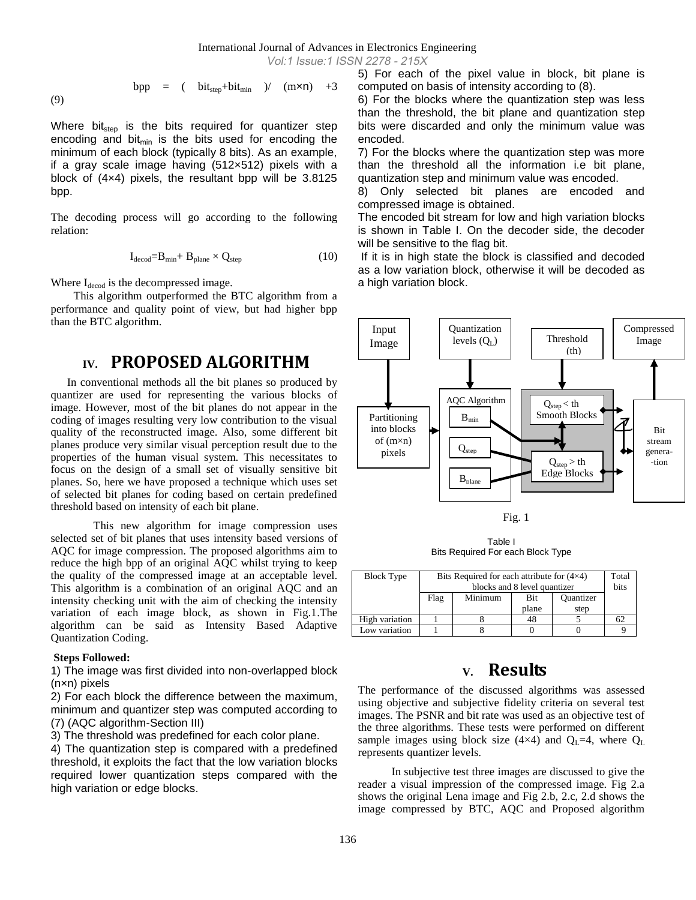$$
opp = (\text{bit}_{step} + \text{bit}_{min}) / (m \times n) + 3
$$

Where bit $_{step}$  is the bits required for quantizer step encoding and bit<sub>min</sub> is the bits used for encoding the minimum of each block (typically 8 bits). As an example, if a gray scale image having (512×512) pixels with a block of (4×4) pixels, the resultant bpp will be 3.8125 bpp.

The decoding process will go according to the following relation:

$$
I_{\text{decod}} = B_{\min} + B_{\text{plane}} \times Q_{\text{step}}
$$
 (10)

Where I<sub>decod</sub> is the decompressed image.

 This algorithm outperformed the BTC algorithm from a performance and quality point of view, but had higher bpp than the BTC algorithm.

#### **IV. PROPOSED ALGORITHM**

In conventional methods all the bit planes so produced by quantizer are used for representing the various blocks of image. However, most of the bit planes do not appear in the coding of images resulting very low contribution to the visual quality of the reconstructed image. Also, some different bit planes produce very similar visual perception result due to the properties of the human visual system. This necessitates to focus on the design of a small set of visually sensitive bit planes. So, here we have proposed a technique which uses set of selected bit planes for coding based on certain predefined threshold based on intensity of each bit plane.

 This new algorithm for image compression uses selected set of bit planes that uses intensity based versions of AQC for image compression. The proposed algorithms aim to reduce the high bpp of an original AQC whilst trying to keep the quality of the compressed image at an acceptable level. This algorithm is a combination of an original AQC and an intensity checking unit with the aim of checking the intensity variation of each image block, as shown in Fig.1.The algorithm can be said as Intensity Based Adaptive Quantization Coding.

#### **Steps Followed:**

1) The image was first divided into non-overlapped block (n×n) pixels

2) For each block the difference between the maximum, minimum and quantizer step was computed according to (7) (AQC algorithm-Section III)

3) The threshold was predefined for each color plane.

4) The quantization step is compared with a predefined threshold, it exploits the fact that the low variation blocks required lower quantization steps compared with the high variation or edge blocks.

5) For each of the pixel value in block, bit plane is computed on basis of intensity according to (8).

6) For the blocks where the quantization step was less than the threshold, the bit plane and quantization step bits were discarded and only the minimum value was encoded.

7) For the blocks where the quantization step was more than the threshold all the information i.e bit plane, quantization step and minimum value was encoded.

8) Only selected bit planes are encoded and compressed image is obtained.

The encoded bit stream for low and high variation blocks is shown in Table I. On the decoder side, the decoder will be sensitive to the flag bit.

If it is in high state the block is classified and decoded as a low variation block, otherwise it will be decoded as a high variation block.



Table I Bits Required For each Block Type

| <b>Block Type</b> | Bits Required for each attribute for $(4\times4)$ | Total<br><b>bits</b> |            |                  |    |  |  |
|-------------------|---------------------------------------------------|----------------------|------------|------------------|----|--|--|
|                   | blocks and 8 level quantizer                      |                      |            |                  |    |  |  |
|                   | Flag                                              | Minimum              | <b>Bit</b> | <b>Quantizer</b> |    |  |  |
|                   |                                                   |                      | plane      | step             |    |  |  |
| High variation    |                                                   |                      |            |                  | 62 |  |  |
| Low variation     |                                                   |                      |            |                  |    |  |  |

#### **V. Results**

The performance of the discussed algorithms was assessed using objective and subjective fidelity criteria on several test images. The PSNR and bit rate was used as an objective test of the three algorithms. These tests were performed on different sample images using block size (4×4) and  $Q_1=4$ , where  $Q_L$ represents quantizer levels.

 In subjective test three images are discussed to give the reader a visual impression of the compressed image. Fig 2.a shows the original Lena image and Fig 2.b, 2.c, 2.d shows the image compressed by BTC, AQC and Proposed algorithm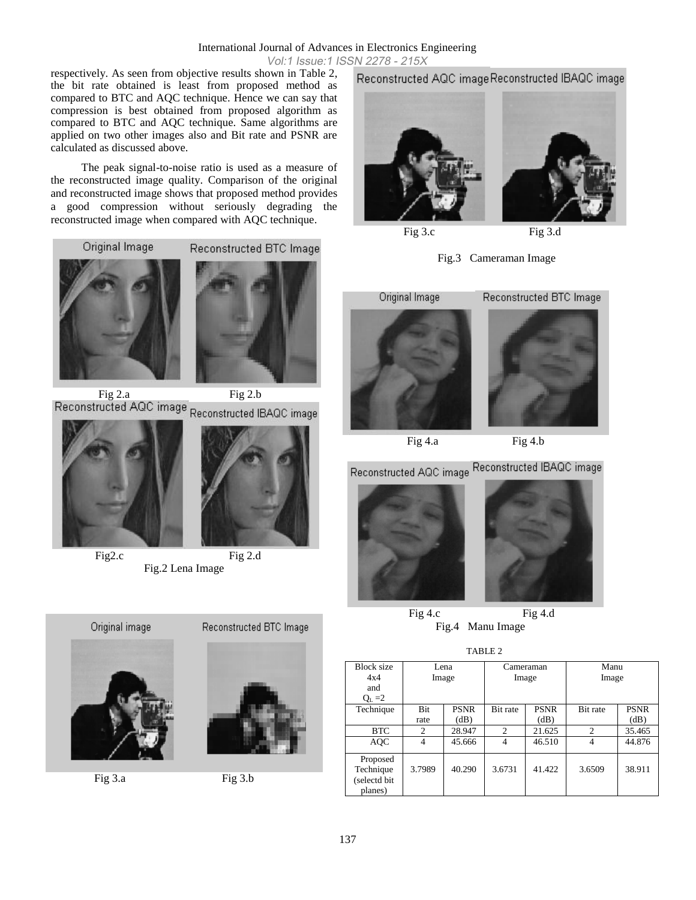respectively. As seen from objective results shown in Table 2, the bit rate obtained is least from proposed method as compared to BTC and AQC technique. Hence we can say that compression is best obtained from proposed algorithm as compared to BTC and AQC technique. Same algorithms are applied on two other images also and Bit rate and PSNR are calculated as discussed above.

 The peak signal-to-noise ratio is used as a measure of the reconstructed image quality. Comparison of the original and reconstructed image shows that proposed method provides a good compression without seriously degrading the reconstructed image when compared with AQC technique.



Fig 2.a Fig 2.b<br>Reconstructed AQC image <sub>Reconstructed</sub> IBAQC image





Fig 2.d Fig 2.d Fig.2 Lena Image



Fig 3.a Fig 3.b



Reconstructed AQC imageReconstructed IBAQC image





Fig 3.c Fig 3.d







Fig 4.a Fig 4.b

Reconstructed AQC image Reconstructed IBAQC image





Fig 4.c Fig 4.d Fig.4 Manu Image

| Block size<br>4x4<br>and<br>$Q_L = 2$            | Lena<br>Image |                     | Cameraman<br>Image |                     | Manu<br>Image |                     |
|--------------------------------------------------|---------------|---------------------|--------------------|---------------------|---------------|---------------------|
| Technique                                        | Bit<br>rate   | <b>PSNR</b><br>(dB) | Bit rate           | <b>PSNR</b><br>(dB) | Bit rate      | <b>PSNR</b><br>(dB) |
| <b>BTC</b>                                       | 2             | 28.947              | 2                  | 21.625              | 2             | 35.465              |
| AQC                                              |               | 45.666              |                    | 46.510              | 4             | 44.876              |
| Proposed<br>Technique<br>(selectd bit<br>planes) | 3.7989        | 40.290              | 3.6731             | 41.422              | 3.6509        | 38.911              |